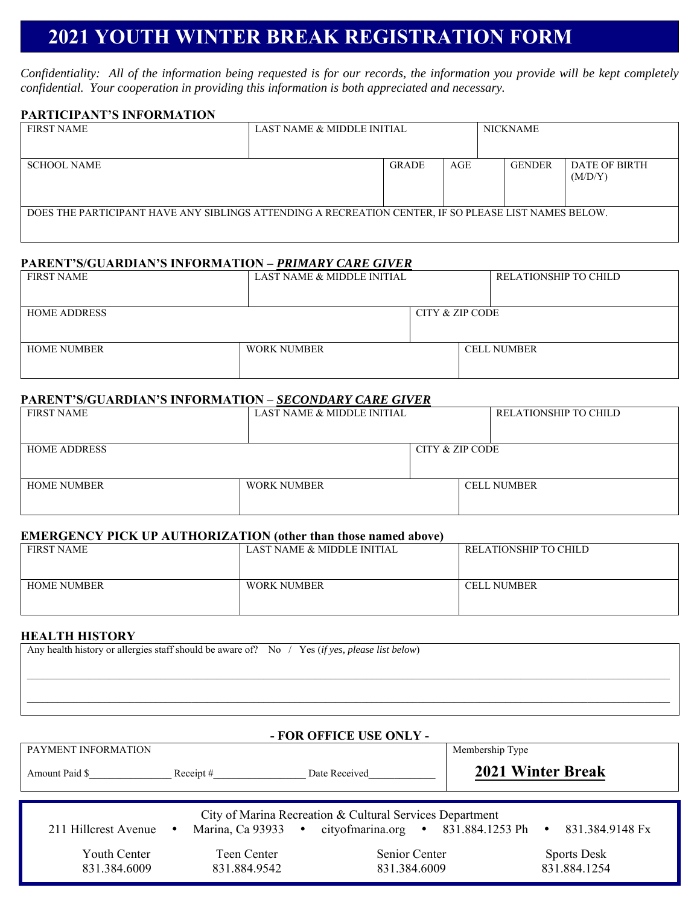# **2021 YOUTH WINTER BREAK REGISTRATION FORM**

*Confidentiality: All of the information being requested is for our records, the information you provide will be kept completely confidential. Your cooperation in providing this information is both appreciated and necessary.* 

### **PARTICIPANT'S INFORMATION**

| <b>FIRST NAME</b>                                                                                    | LAST NAME & MIDDLE INITIAL |              | <b>NICKNAME</b> |  |               |                          |
|------------------------------------------------------------------------------------------------------|----------------------------|--------------|-----------------|--|---------------|--------------------------|
|                                                                                                      |                            |              |                 |  |               |                          |
| <b>SCHOOL NAME</b>                                                                                   |                            | <b>GRADE</b> | AGE             |  | <b>GENDER</b> | DATE OF BIRTH<br>(M/D/Y) |
| DOES THE PARTICIPANT HAVE ANY SIBLINGS ATTENDING A RECREATION CENTER, IF SO PLEASE LIST NAMES BELOW. |                            |              |                 |  |               |                          |

#### **PARENT'S/GUARDIAN'S INFORMATION –** *PRIMARY CARE GIVER*

| <b>FIRST NAME</b>   | LAST NAME & MIDDLE INITIAL |                 | RELATIONSHIP TO CHILD |  |
|---------------------|----------------------------|-----------------|-----------------------|--|
|                     |                            |                 |                       |  |
| <b>HOME ADDRESS</b> |                            | CITY & ZIP CODE |                       |  |
|                     |                            |                 |                       |  |
| HOME NUMBER         | WORK NUMBER                |                 | <b>CELL NUMBER</b>    |  |
|                     |                            |                 |                       |  |

#### **PARENT'S/GUARDIAN'S INFORMATION –** *SECONDARY CARE GIVER*

| <b>FIRST NAME</b>   | LAST NAME & MIDDLE INITIAL |                 | RELATIONSHIP TO CHILD |
|---------------------|----------------------------|-----------------|-----------------------|
|                     |                            |                 |                       |
| <b>HOME ADDRESS</b> |                            | CITY & ZIP CODE |                       |
|                     |                            |                 |                       |
| <b>HOME NUMBER</b>  | <b>WORK NUMBER</b>         |                 | <b>CELL NUMBER</b>    |
|                     |                            |                 |                       |

# **EMERGENCY PICK UP AUTHORIZATION (other than those named above)**

| FIRST NAME  | LAST NAME & MIDDLE INITIAL | RELATIONSHIP TO CHILD |
|-------------|----------------------------|-----------------------|
| HOME NUMBER | <b>WORK NUMBER</b>         | <b>CELL NUMBER</b>    |

# **HEALTH HISTORY**

| Any health history or allergies staff should be aware of? No $/$ Yes (if yes, please list below) |  |
|--------------------------------------------------------------------------------------------------|--|
|                                                                                                  |  |
|                                                                                                  |  |
|                                                                                                  |  |
|                                                                                                  |  |

| - FOR OFFICE USE ONLY -                              |                             |                                                                                                                                                    |                                                                    |  |  |
|------------------------------------------------------|-----------------------------|----------------------------------------------------------------------------------------------------------------------------------------------------|--------------------------------------------------------------------|--|--|
| PAYMENT INFORMATION                                  |                             |                                                                                                                                                    | Membership Type                                                    |  |  |
| Amount Paid \$                                       | Receipt $#$                 | Date Received                                                                                                                                      | <b>2021 Winter Break</b>                                           |  |  |
| 211 Hillcrest Avenue<br>Youth Center<br>831.384.6009 | Teen Center<br>831.884.9542 | City of Marina Recreation & Cultural Services Department<br>Marina, Ca 93933 • cityofmarina.org • 831.884.1253 Ph<br>Senior Center<br>831.384.6009 | 831.384.9148 Fx<br>$\bullet$<br><b>Sports Desk</b><br>831.884.1254 |  |  |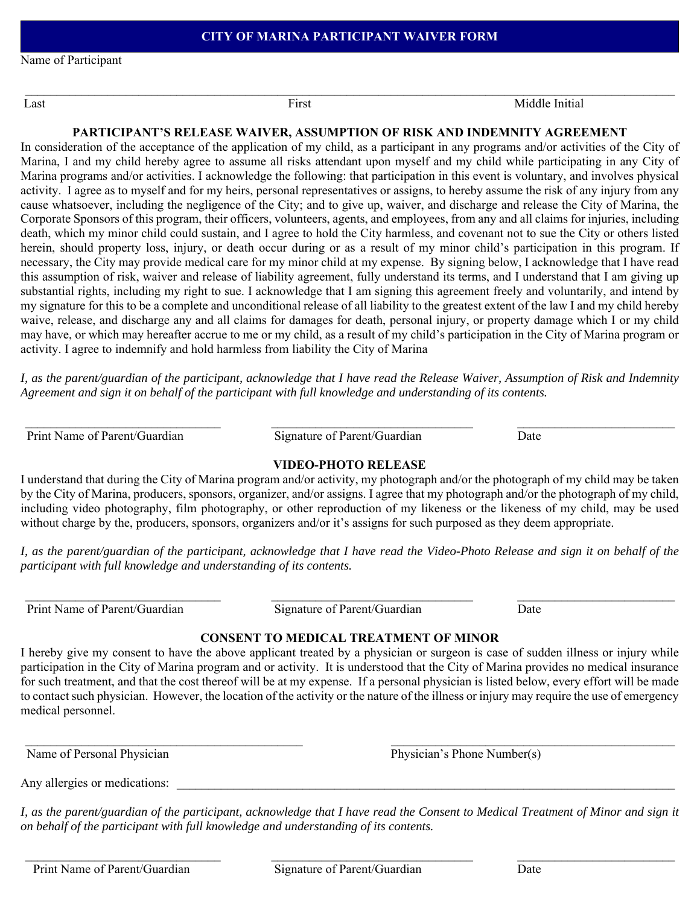Name of Participant

Last **First** First Middle Initial

### **PARTICIPANT'S RELEASE WAIVER, ASSUMPTION OF RISK AND INDEMNITY AGREEMENT**

In consideration of the acceptance of the application of my child, as a participant in any programs and/or activities of the City of Marina, I and my child hereby agree to assume all risks attendant upon myself and my child while participating in any City of Marina programs and/or activities. I acknowledge the following: that participation in this event is voluntary, and involves physical activity. I agree as to myself and for my heirs, personal representatives or assigns, to hereby assume the risk of any injury from any cause whatsoever, including the negligence of the City; and to give up, waiver, and discharge and release the City of Marina, the Corporate Sponsors of this program, their officers, volunteers, agents, and employees, from any and all claims for injuries, including death, which my minor child could sustain, and I agree to hold the City harmless, and covenant not to sue the City or others listed herein, should property loss, injury, or death occur during or as a result of my minor child's participation in this program. If necessary, the City may provide medical care for my minor child at my expense. By signing below, I acknowledge that I have read this assumption of risk, waiver and release of liability agreement, fully understand its terms, and I understand that I am giving up substantial rights, including my right to sue. I acknowledge that I am signing this agreement freely and voluntarily, and intend by my signature for this to be a complete and unconditional release of all liability to the greatest extent of the law I and my child hereby waive, release, and discharge any and all claims for damages for death, personal injury, or property damage which I or my child may have, or which may hereafter accrue to me or my child, as a result of my child's participation in the City of Marina program or activity. I agree to indemnify and hold harmless from liability the City of Marina

*I, as the parent/guardian of the participant, acknowledge that I have read the Release Waiver, Assumption of Risk and Indemnity Agreement and sign it on behalf of the participant with full knowledge and understanding of its contents.* 

Print Name of Parent/Guardian Signature of Parent/Guardian Date

# **VIDEO-PHOTO RELEASE**

I understand that during the City of Marina program and/or activity, my photograph and/or the photograph of my child may be taken by the City of Marina, producers, sponsors, organizer, and/or assigns. I agree that my photograph and/or the photograph of my child, including video photography, film photography, or other reproduction of my likeness or the likeness of my child, may be used without charge by the, producers, sponsors, organizers and/or it's assigns for such purposed as they deem appropriate.

*I, as the parent/guardian of the participant, acknowledge that I have read the Video-Photo Release and sign it on behalf of the participant with full knowledge and understanding of its contents.* 

Print Name of Parent/Guardian Signature of Parent/Guardian Date

 $\mathcal{L}_\mathcal{L} = \{ \mathcal{L}_\mathcal{L} = \{ \mathcal{L}_\mathcal{L} = \{ \mathcal{L}_\mathcal{L} = \{ \mathcal{L}_\mathcal{L} = \{ \mathcal{L}_\mathcal{L} = \{ \mathcal{L}_\mathcal{L} = \{ \mathcal{L}_\mathcal{L} = \{ \mathcal{L}_\mathcal{L} = \{ \mathcal{L}_\mathcal{L} = \{ \mathcal{L}_\mathcal{L} = \{ \mathcal{L}_\mathcal{L} = \{ \mathcal{L}_\mathcal{L} = \{ \mathcal{L}_\mathcal{L} = \{ \mathcal{L}_\mathcal{$ 

# **CONSENT TO MEDICAL TREATMENT OF MINOR**

I hereby give my consent to have the above applicant treated by a physician or surgeon is case of sudden illness or injury while participation in the City of Marina program and or activity. It is understood that the City of Marina provides no medical insurance for such treatment, and that the cost thereof will be at my expense. If a personal physician is listed below, every effort will be made to contact such physician. However, the location of the activity or the nature of the illness or injury may require the use of emergency medical personnel.

Name of Personal Physician Physician Physician's Phone Number(s)

Any allergies or medications:

*I, as the parent/guardian of the participant, acknowledge that I have read the Consent to Medical Treatment of Minor and sign it on behalf of the participant with full knowledge and understanding of its contents.*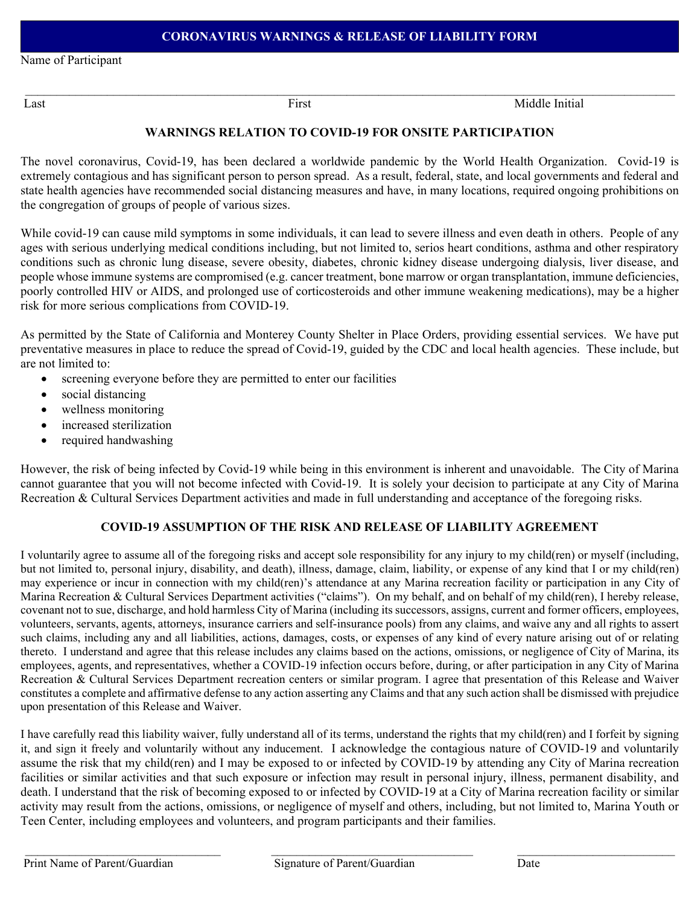Name of Participant

Last **First** First Middle Initial

# **WARNINGS RELATION TO COVID-19 FOR ONSITE PARTICIPATION**

The novel coronavirus, Covid-19, has been declared a worldwide pandemic by the World Health Organization. Covid-19 is extremely contagious and has significant person to person spread. As a result, federal, state, and local governments and federal and state health agencies have recommended social distancing measures and have, in many locations, required ongoing prohibitions on the congregation of groups of people of various sizes.

While covid-19 can cause mild symptoms in some individuals, it can lead to severe illness and even death in others. People of any ages with serious underlying medical conditions including, but not limited to, serios heart conditions, asthma and other respiratory conditions such as chronic lung disease, severe obesity, diabetes, chronic kidney disease undergoing dialysis, liver disease, and people whose immune systems are compromised (e.g. cancer treatment, bone marrow or organ transplantation, immune deficiencies, poorly controlled HIV or AIDS, and prolonged use of corticosteroids and other immune weakening medications), may be a higher risk for more serious complications from COVID-19.

As permitted by the State of California and Monterey County Shelter in Place Orders, providing essential services. We have put preventative measures in place to reduce the spread of Covid-19, guided by the CDC and local health agencies. These include, but are not limited to:

- screening everyone before they are permitted to enter our facilities
- social distancing
- wellness monitoring
- increased sterilization
- required handwashing

However, the risk of being infected by Covid-19 while being in this environment is inherent and unavoidable. The City of Marina cannot guarantee that you will not become infected with Covid-19. It is solely your decision to participate at any City of Marina Recreation & Cultural Services Department activities and made in full understanding and acceptance of the foregoing risks.

#### **COVID-19 ASSUMPTION OF THE RISK AND RELEASE OF LIABILITY AGREEMENT**

I voluntarily agree to assume all of the foregoing risks and accept sole responsibility for any injury to my child(ren) or myself (including, but not limited to, personal injury, disability, and death), illness, damage, claim, liability, or expense of any kind that I or my child(ren) may experience or incur in connection with my child(ren)'s attendance at any Marina recreation facility or participation in any City of Marina Recreation & Cultural Services Department activities ("claims"). On my behalf, and on behalf of my child(ren), I hereby release, covenant not to sue, discharge, and hold harmless City of Marina (including its successors, assigns, current and former officers, employees, volunteers, servants, agents, attorneys, insurance carriers and self-insurance pools) from any claims, and waive any and all rights to assert such claims, including any and all liabilities, actions, damages, costs, or expenses of any kind of every nature arising out of or relating thereto. I understand and agree that this release includes any claims based on the actions, omissions, or negligence of City of Marina, its employees, agents, and representatives, whether a COVID-19 infection occurs before, during, or after participation in any City of Marina Recreation & Cultural Services Department recreation centers or similar program. I agree that presentation of this Release and Waiver constitutes a complete and affirmative defense to any action asserting any Claims and that any such action shall be dismissed with prejudice upon presentation of this Release and Waiver.

I have carefully read this liability waiver, fully understand all of its terms, understand the rights that my child(ren) and I forfeit by signing it, and sign it freely and voluntarily without any inducement. I acknowledge the contagious nature of COVID-19 and voluntarily assume the risk that my child(ren) and I may be exposed to or infected by COVID-19 by attending any City of Marina recreation facilities or similar activities and that such exposure or infection may result in personal injury, illness, permanent disability, and death. I understand that the risk of becoming exposed to or infected by COVID-19 at a City of Marina recreation facility or similar activity may result from the actions, omissions, or negligence of myself and others, including, but not limited to, Marina Youth or Teen Center, including employees and volunteers, and program participants and their families.